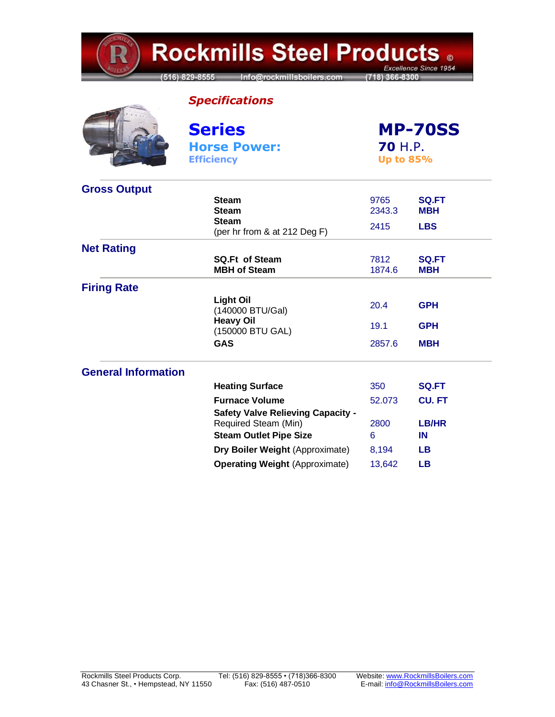**Rockmills Steel Products .** Excellence Since 1954 (516) 829-8555 Info@rockmillsboilers.com (718) 366-8300 *Specifications* **Series MP-70SS Horse Power: 70** H.P. **Efficiency Up to 85% Gross Output Steam** 9765 **SQ.FT Steam** 2343.3 **MBH Steam**  (per hr from & at 212 Deg F) <sup>2415</sup> **LBS Net Rating SQ.Ft of Steam** 7812 **SQ.FT MBH of Steam** 1874.6 **MBH Firing Rate Light Oil** (140000 BTU/Gal) 20.4 **GPH Heavy Oil** (150000 BTU GAL) 19.1 **GPH GAS** 2857.6 **MBH**

## **General Information**

| <b>Heating Surface</b>                   | 350    | <b>SQ.FT</b> |
|------------------------------------------|--------|--------------|
| <b>Furnace Volume</b>                    | 52.073 | <b>CU.FT</b> |
| <b>Safety Valve Relieving Capacity -</b> |        |              |
| Required Steam (Min)                     | 2800   | LB/HR        |
| <b>Steam Outlet Pipe Size</b>            | 6      | ΙN           |
| Dry Boiler Weight (Approximate)          | 8.194  | LВ           |
| <b>Operating Weight (Approximate)</b>    | 13.642 | LВ           |